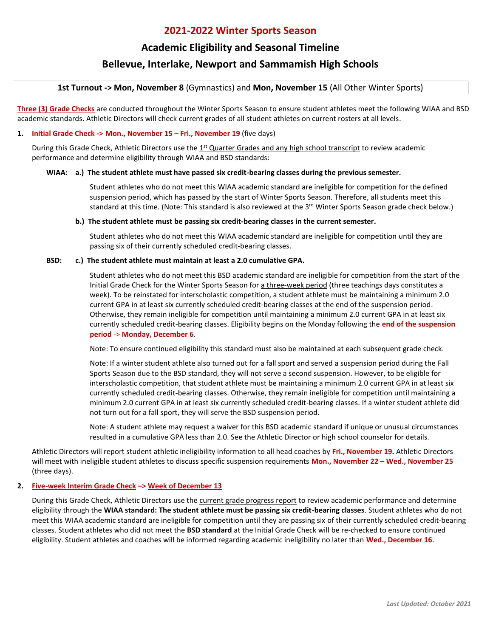# **2021-2022 Winter Sports Season**

# **Academic Eligibility and Seasonal Timeline**

# **Bellevue, Interlake, Newport and Sammamish High Schools**

**1st Turnout -> Mon, November 8** (Gymnastics) and **Mon, November 15** (All Other Winter Sports)

**Three (3) Grade Checks** are conducted throughout the Winter Sports Season to ensure student athletes meet the following WIAA and BSD academic standards. Athletic Directors will check current grades of all student athletes on current rosters at all levels.

## **1. Initial Grade Check -> Mon., November 15** – **Fri., November 19** (five days)

During this Grade Check, Athletic Directors use the 1<sup>st</sup> Quarter Grades and any high school transcript to review academic performance and determine eligibility through WIAA and BSD standards:

## **WIAA: a.) The student athlete must have passed six credit-bearing classes during the previous semester.**

Student athletes who do not meet this WIAA academic standard are ineligible for competition for the defined suspension period, which has passed by the start of Winter Sports Season. Therefore, all students meet this standard at this time. (Note: This standard is also reviewed at the 3<sup>rd</sup> Winter Sports Season grade check below.)

### **b.) The student athlete must be passing six credit-bearing classes in the current semester.**

Student athletes who do not meet this WIAA academic standard are ineligible for competition until they are passing six of their currently scheduled credit-bearing classes.

## **BSD: c.) The student athlete must maintain at least a 2.0 cumulative GPA.**

Student athletes who do not meet this BSD academic standard are ineligible for competition from the start of the Initial Grade Check for the Winter Sports Season for a three-week period (three teachings days constitutes a week). To be reinstated for interscholastic competition, a student athlete must be maintaining a minimum 2.0 current GPA in at least six currently scheduled credit-bearing classes at the end of the suspension period. Otherwise, they remain ineligible for competition until maintaining a minimum 2.0 current GPA in at least six currently scheduled credit-bearing classes. Eligibility begins on the Monday following the **end of the suspension period** -> **Monday, December 6**.

Note: To ensure continued eligibility this standard must also be maintained at each subsequent grade check.

Note: If a winter student athlete also turned out for a fall sport and served a suspension period during the Fall Sports Season due to the BSD standard, they will not serve a second suspension. However, to be eligible for interscholastic competition, that student athlete must be maintaining a minimum 2.0 current GPA in at least six currently scheduled credit-bearing classes. Otherwise, they remain ineligible for competition until maintaining a minimum 2.0 current GPA in at least six currently scheduled credit-bearing classes. If a winter student athlete did not turn out for a fall sport, they will serve the BSD suspension period.

Note: A student athlete may request a waiver for this BSD academic standard if unique or unusual circumstances resulted in a cumulative GPA less than 2.0. See the Athletic Director or high school counselor for details.

Athletic Directors will report student athletic ineligibility information to all head coaches by **Fri., November 19.** Athletic Directors will meet with ineligible student athletes to discuss specific suspension requirements **Mon., November 22 – Wed., November 25**  (three days).

## **2. Five-week Interim Grade Check –> Week of December 13**

During this Grade Check, Athletic Directors use the current grade progress report to review academic performance and determine eligibility through the **WIAA standard: The student athlete must be passing six credit-bearing classes**. Student athletes who do not meet this WIAA academic standard are ineligible for competition until they are passing six of their currently scheduled credit-bearing classes. Student athletes who did not meet the **BSD standard** at the Initial Grade Check will be re-checked to ensure continued eligibility. Student athletes and coaches will be informed regarding academic ineligibility no later than **Wed., December 16**.